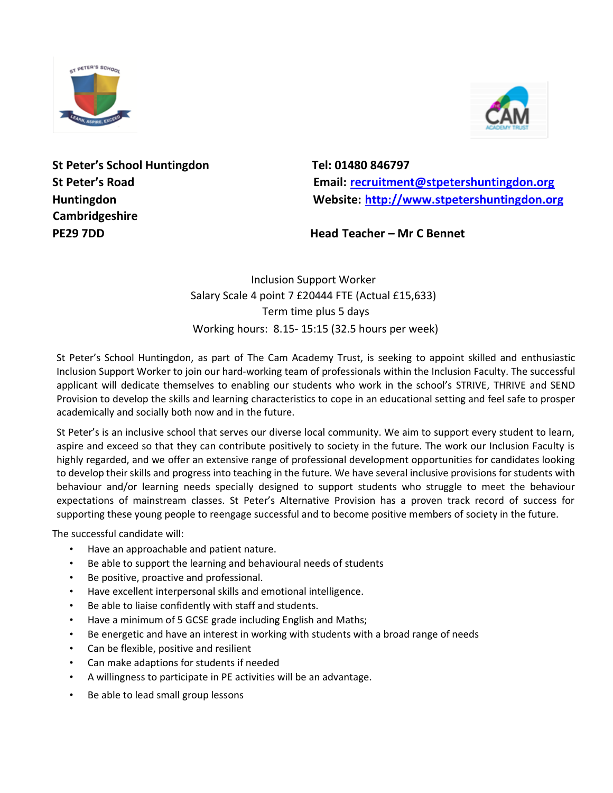



St Peter's School Huntingdon Tel: 01480 846797 **Cambridgeshire** 

**St Peter's Road Email: recruitment@stpetershuntingdon.org Huntingdon Website: [http://www.stpetershuntingdon.org](http://www.stpetershuntingdon.org/)**

**PE29 7DD Head Teacher – Mr C Bennet** 

Inclusion Support Worker Salary Scale 4 point 7 £20444 FTE (Actual £15,633) Term time plus 5 days Working hours: 8.15- 15:15 (32.5 hours per week)

St Peter's School Huntingdon, as part of The Cam Academy Trust, is seeking to appoint skilled and enthusiastic Inclusion Support Worker to join our hard-working team of professionals within the Inclusion Faculty. The successful applicant will dedicate themselves to enabling our students who work in the school's STRIVE, THRIVE and SEND Provision to develop the skills and learning characteristics to cope in an educational setting and feel safe to prosper academically and socially both now and in the future.

St Peter's is an inclusive school that serves our diverse local community. We aim to support every student to learn, aspire and exceed so that they can contribute positively to society in the future. The work our Inclusion Faculty is highly regarded, and we offer an extensive range of professional development opportunities for candidates looking to develop their skills and progress into teaching in the future. We have several inclusive provisions for students with behaviour and/or learning needs specially designed to support students who struggle to meet the behaviour expectations of mainstream classes. St Peter's Alternative Provision has a proven track record of success for supporting these young people to reengage successful and to become positive members of society in the future.

The successful candidate will:

- Have an approachable and patient nature.
- Be able to support the learning and behavioural needs of students
- Be positive, proactive and professional.
- Have excellent interpersonal skills and emotional intelligence.
- Be able to liaise confidently with staff and students.
- Have a minimum of 5 GCSE grade including English and Maths;
- Be energetic and have an interest in working with students with a broad range of needs
- Can be flexible, positive and resilient
- Can make adaptions for students if needed
- A willingness to participate in PE activities will be an advantage.
- Be able to lead small group lessons